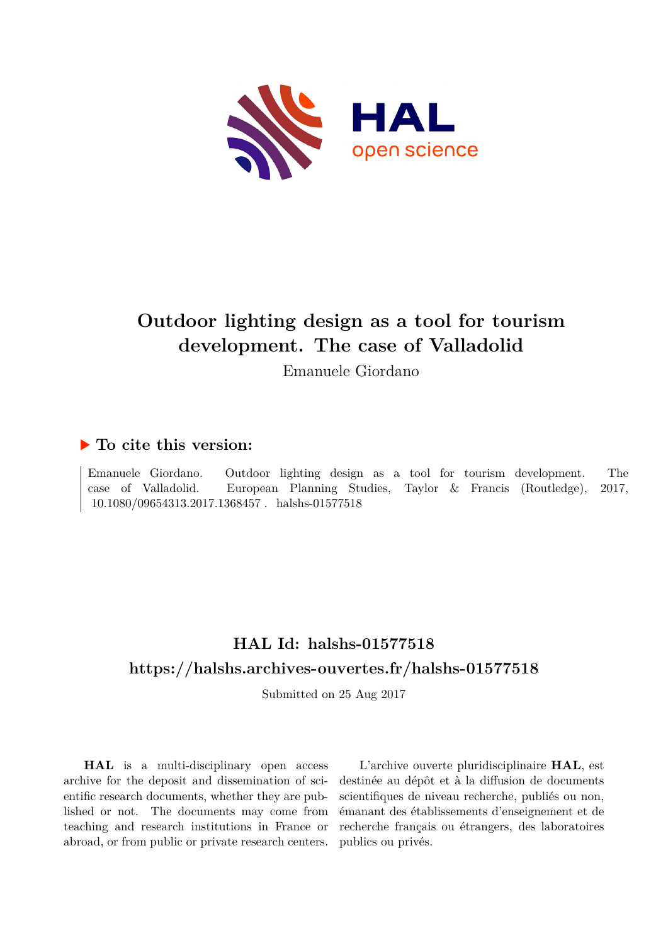

# **Outdoor lighting design as a tool for tourism development. The case of Valladolid**

Emanuele Giordano

# **To cite this version:**

Emanuele Giordano. Outdoor lighting design as a tool for tourism development. The case of Valladolid. European Planning Studies, Taylor & Francis (Routledge), 2017,  $10.1080/09654313.2017.1368457$  .  $\,$  halshs-01577518

# **HAL Id: halshs-01577518 <https://halshs.archives-ouvertes.fr/halshs-01577518>**

Submitted on 25 Aug 2017

**HAL** is a multi-disciplinary open access archive for the deposit and dissemination of scientific research documents, whether they are published or not. The documents may come from teaching and research institutions in France or abroad, or from public or private research centers.

L'archive ouverte pluridisciplinaire **HAL**, est destinée au dépôt et à la diffusion de documents scientifiques de niveau recherche, publiés ou non, émanant des établissements d'enseignement et de recherche français ou étrangers, des laboratoires publics ou privés.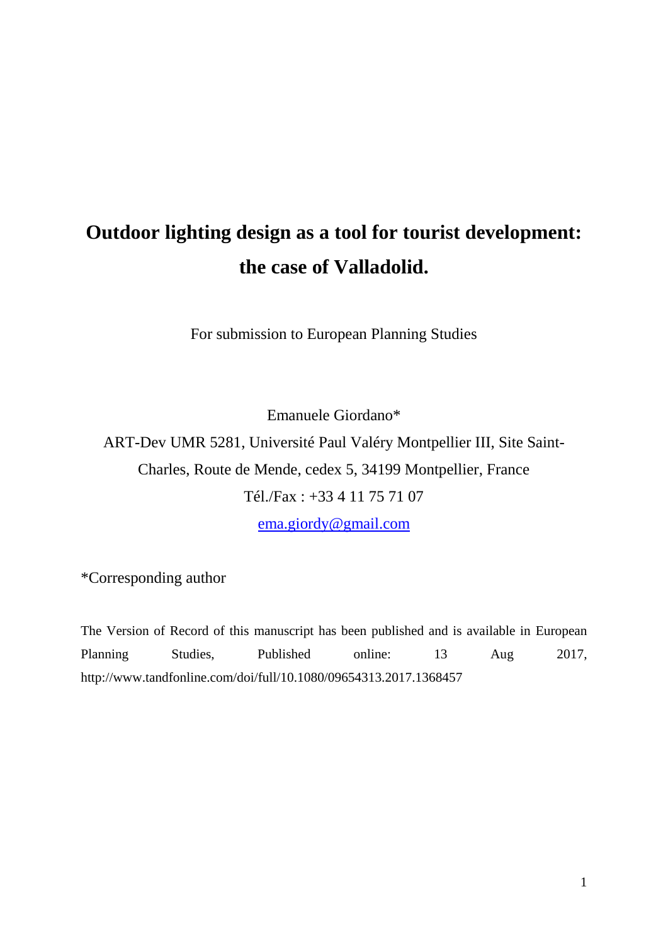# **Outdoor lighting design as a tool for tourist development: the case of Valladolid.**

For submission to European Planning Studies

Emanuele Giordano\* ART-Dev UMR 5281, Université Paul Valéry Montpellier III, Site Saint-Charles, Route de Mende, cedex 5, 34199 Montpellier, France Tél./Fax : +33 4 11 75 71 07 [ema.giordy@gmail.com](mailto:ema.giordy@gmail.com)

\*Corresponding author

The Version of Record of this manuscript has been published and is available in European Planning Studies, Published online: 13 Aug 2017, http://www.tandfonline.com/doi/full/10.1080/09654313.2017.1368457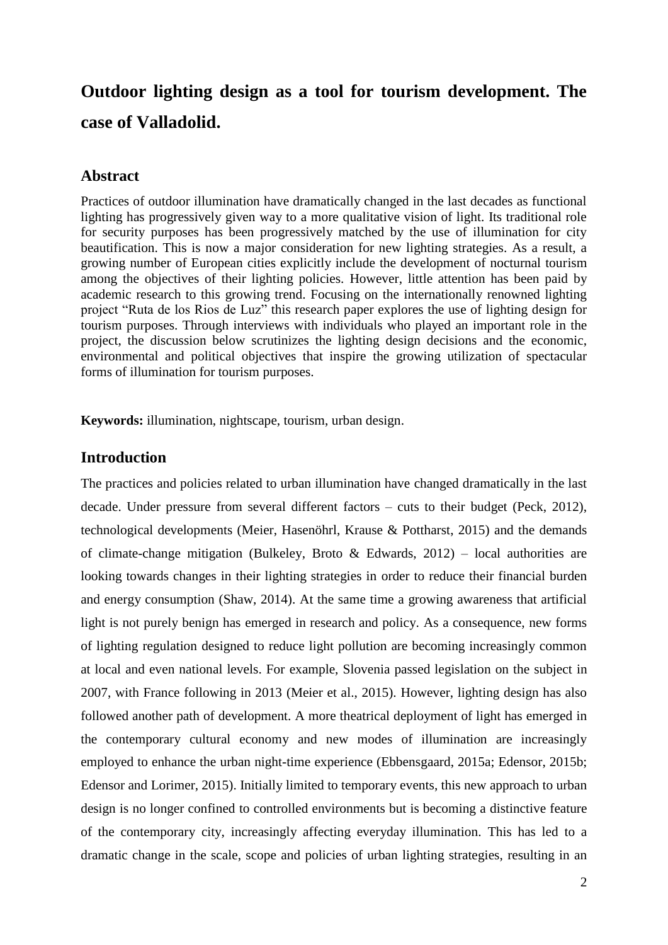# **Outdoor lighting design as a tool for tourism development. The case of Valladolid.**

## **Abstract**

Practices of outdoor illumination have dramatically changed in the last decades as functional lighting has progressively given way to a more qualitative vision of light. Its traditional role for security purposes has been progressively matched by the use of illumination for city beautification. This is now a major consideration for new lighting strategies. As a result, a growing number of European cities explicitly include the development of nocturnal tourism among the objectives of their lighting policies. However, little attention has been paid by academic research to this growing trend. Focusing on the internationally renowned lighting project "Ruta de los Rios de Luz" this research paper explores the use of lighting design for tourism purposes. Through interviews with individuals who played an important role in the project, the discussion below scrutinizes the lighting design decisions and the economic, environmental and political objectives that inspire the growing utilization of spectacular forms of illumination for tourism purposes.

**Keywords:** illumination, nightscape, tourism, urban design.

### **Introduction**

The practices and policies related to urban illumination have changed dramatically in the last decade. Under pressure from several different factors – cuts to their budget (Peck, 2012), technological developments (Meier, Hasenöhrl, Krause & Pottharst, 2015) and the demands of climate-change mitigation (Bulkeley, Broto  $\&$  Edwards, 2012) – local authorities are looking towards changes in their lighting strategies in order to reduce their financial burden and energy consumption (Shaw, 2014). At the same time a growing awareness that artificial light is not purely benign has emerged in research and policy. As a consequence, new forms of lighting regulation designed to reduce light pollution are becoming increasingly common at local and even national levels. For example, Slovenia passed legislation on the subject in 2007, with France following in 2013 (Meier et al., 2015). However, lighting design has also followed another path of development. A more theatrical deployment of light has emerged in the contemporary cultural economy and new modes of illumination are increasingly employed to enhance the urban night-time experience (Ebbensgaard, 2015a; Edensor, 2015b; Edensor and Lorimer, 2015). Initially limited to temporary events, this new approach to urban design is no longer confined to controlled environments but is becoming a distinctive feature of the contemporary city, increasingly affecting everyday illumination. This has led to a dramatic change in the scale, scope and policies of urban lighting strategies, resulting in an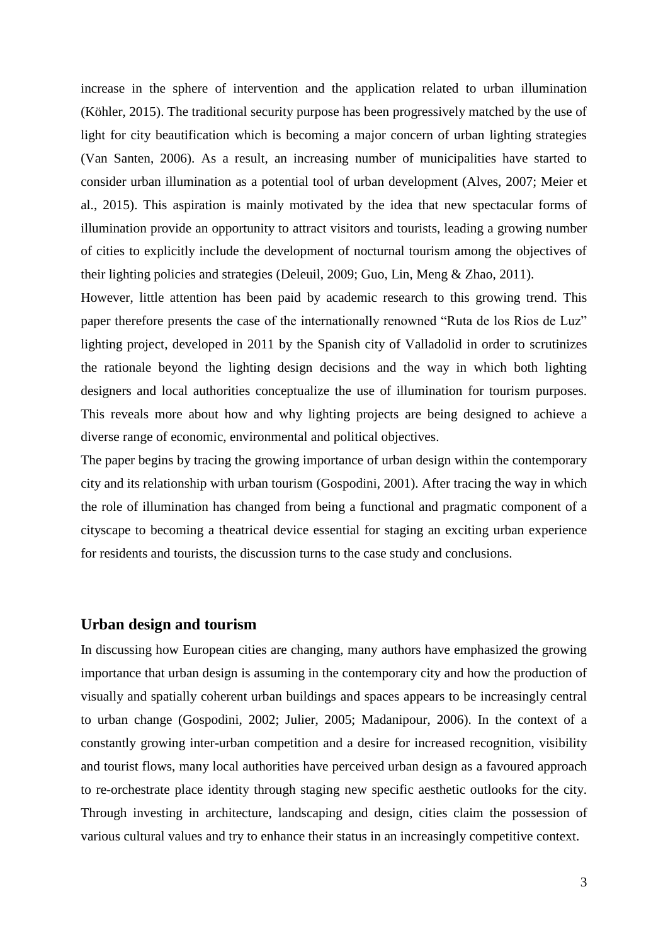increase in the sphere of intervention and the application related to urban illumination (Köhler, 2015). The traditional security purpose has been progressively matched by the use of light for city beautification which is becoming a major concern of urban lighting strategies (Van Santen, 2006). As a result, an increasing number of municipalities have started to consider urban illumination as a potential tool of urban development (Alves, 2007; Meier et al., 2015). This aspiration is mainly motivated by the idea that new spectacular forms of illumination provide an opportunity to attract visitors and tourists, leading a growing number of cities to explicitly include the development of nocturnal tourism among the objectives of their lighting policies and strategies (Deleuil, 2009; Guo, Lin, Meng & Zhao, 2011).

However, little attention has been paid by academic research to this growing trend. This paper therefore presents the case of the internationally renowned "Ruta de los Rios de Luz" lighting project, developed in 2011 by the Spanish city of Valladolid in order to scrutinizes the rationale beyond the lighting design decisions and the way in which both lighting designers and local authorities conceptualize the use of illumination for tourism purposes. This reveals more about how and why lighting projects are being designed to achieve a diverse range of economic, environmental and political objectives.

The paper begins by tracing the growing importance of urban design within the contemporary city and its relationship with urban tourism (Gospodini, 2001). After tracing the way in which the role of illumination has changed from being a functional and pragmatic component of a cityscape to becoming a theatrical device essential for staging an exciting urban experience for residents and tourists, the discussion turns to the case study and conclusions.

#### **Urban design and tourism**

In discussing how European cities are changing, many authors have emphasized the growing importance that urban design is assuming in the contemporary city and how the production of visually and spatially coherent urban buildings and spaces appears to be increasingly central to urban change (Gospodini, 2002; Julier, 2005; Madanipour, 2006). In the context of a constantly growing inter-urban competition and a desire for increased recognition, visibility and tourist flows, many local authorities have perceived urban design as a favoured approach to re-orchestrate place identity through staging new specific aesthetic outlooks for the city. Through investing in architecture, landscaping and design, cities claim the possession of various cultural values and try to enhance their status in an increasingly competitive context.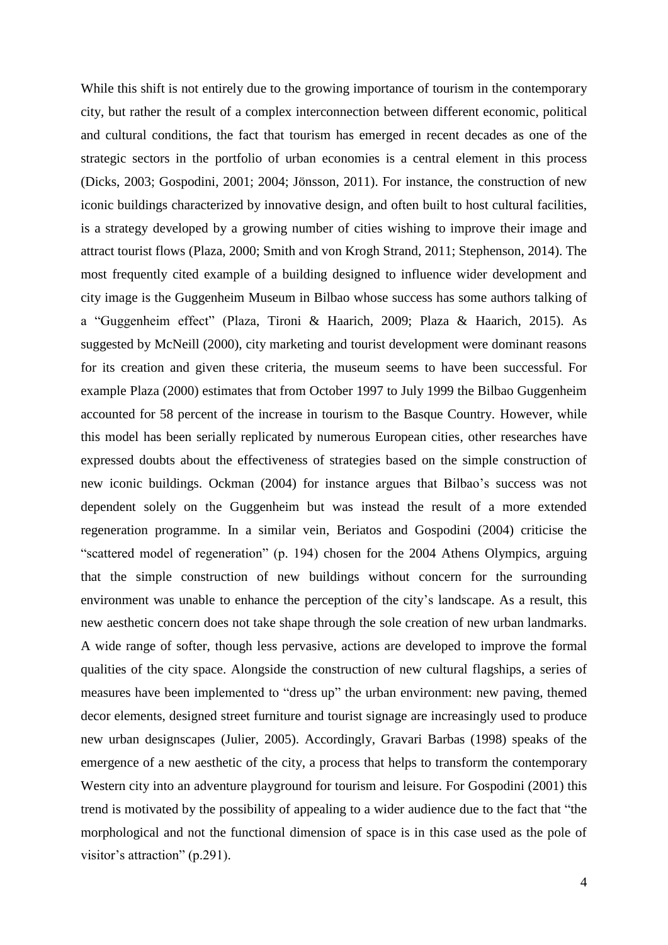While this shift is not entirely due to the growing importance of tourism in the contemporary city, but rather the result of a complex interconnection between different economic, political and cultural conditions, the fact that tourism has emerged in recent decades as one of the strategic sectors in the portfolio of urban economies is a central element in this process (Dicks, 2003; Gospodini, 2001; 2004; Jönsson, 2011). For instance, the construction of new iconic buildings characterized by innovative design, and often built to host cultural facilities, is a strategy developed by a growing number of cities wishing to improve their image and attract tourist flows (Plaza, 2000; Smith and von Krogh Strand, 2011; Stephenson, 2014). The most frequently cited example of a building designed to influence wider development and city image is the Guggenheim Museum in Bilbao whose success has some authors talking of a "Guggenheim effect" (Plaza, Tironi & Haarich, 2009; Plaza & Haarich, 2015). As suggested by McNeill (2000), city marketing and tourist development were dominant reasons for its creation and given these criteria, the museum seems to have been successful. For example Plaza (2000) estimates that from October 1997 to July 1999 the Bilbao Guggenheim accounted for 58 percent of the increase in tourism to the Basque Country. However, while this model has been serially replicated by numerous European cities, other researches have expressed doubts about the effectiveness of strategies based on the simple construction of new iconic buildings. Ockman (2004) for instance argues that Bilbao's success was not dependent solely on the Guggenheim but was instead the result of a more extended regeneration programme. In a similar vein, Beriatos and Gospodini (2004) criticise the "scattered model of regeneration" (p. 194) chosen for the 2004 Athens Olympics, arguing that the simple construction of new buildings without concern for the surrounding environment was unable to enhance the perception of the city's landscape. As a result, this new aesthetic concern does not take shape through the sole creation of new urban landmarks. A wide range of softer, though less pervasive, actions are developed to improve the formal qualities of the city space. Alongside the construction of new cultural flagships, a series of measures have been implemented to "dress up" the urban environment: new paving, themed decor elements, designed street furniture and tourist signage are increasingly used to produce new urban designscapes (Julier, 2005). Accordingly, Gravari Barbas (1998) speaks of the emergence of a new aesthetic of the city, a process that helps to transform the contemporary Western city into an adventure playground for tourism and leisure. For Gospodini (2001) this trend is motivated by the possibility of appealing to a wider audience due to the fact that "the morphological and not the functional dimension of space is in this case used as the pole of visitor's attraction" (p.291).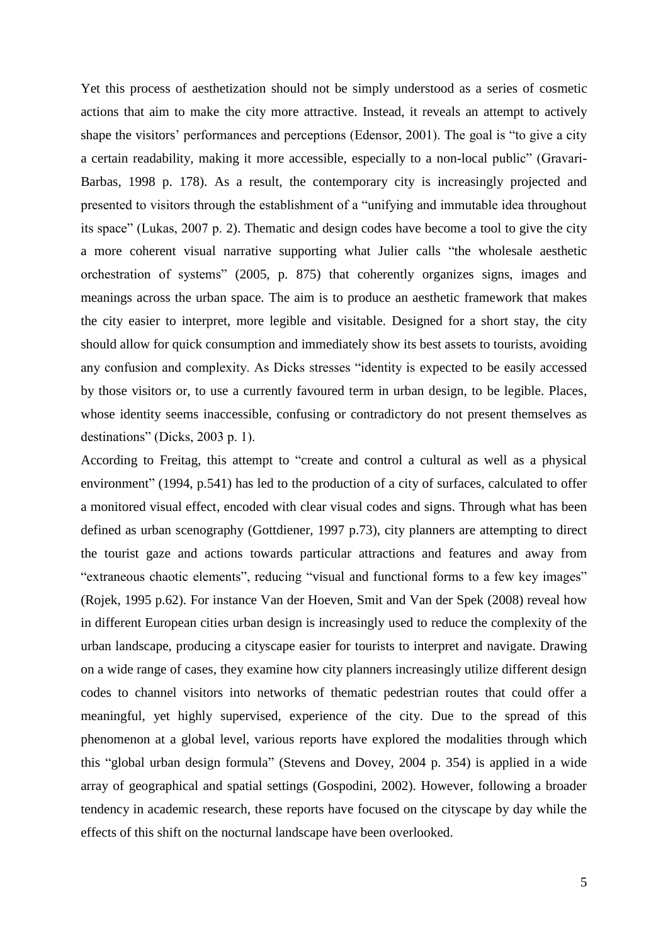Yet this process of aesthetization should not be simply understood as a series of cosmetic actions that aim to make the city more attractive. Instead, it reveals an attempt to actively shape the visitors' performances and perceptions (Edensor, 2001). The goal is "to give a city a certain readability, making it more accessible, especially to a non-local public" (Gravari-Barbas, 1998 p. 178). As a result, the contemporary city is increasingly projected and presented to visitors through the establishment of a "unifying and immutable idea throughout its space" (Lukas, 2007 p. 2). Thematic and design codes have become a tool to give the city a more coherent visual narrative supporting what Julier calls "the wholesale aesthetic orchestration of systems" (2005, p. 875) that coherently organizes signs, images and meanings across the urban space. The aim is to produce an aesthetic framework that makes the city easier to interpret, more legible and visitable. Designed for a short stay, the city should allow for quick consumption and immediately show its best assets to tourists, avoiding any confusion and complexity. As Dicks stresses "identity is expected to be easily accessed by those visitors or, to use a currently favoured term in urban design, to be legible. Places, whose identity seems inaccessible, confusing or contradictory do not present themselves as destinations" (Dicks, 2003 p. 1).

According to Freitag, this attempt to "create and control a cultural as well as a physical environment" (1994, p.541) has led to the production of a city of surfaces, calculated to offer a monitored visual effect, encoded with clear visual codes and signs. Through what has been defined as urban scenography (Gottdiener, 1997 p.73), city planners are attempting to direct the tourist gaze and actions towards particular attractions and features and away from "extraneous chaotic elements", reducing "visual and functional forms to a few key images" (Rojek, 1995 p.62). For instance Van der Hoeven, Smit and Van der Spek (2008) reveal how in different European cities urban design is increasingly used to reduce the complexity of the urban landscape, producing a cityscape easier for tourists to interpret and navigate. Drawing on a wide range of cases, they examine how city planners increasingly utilize different design codes to channel visitors into networks of thematic pedestrian routes that could offer a meaningful, yet highly supervised, experience of the city. Due to the spread of this phenomenon at a global level, various reports have explored the modalities through which this "global urban design formula" (Stevens and Dovey, 2004 p. 354) is applied in a wide array of geographical and spatial settings (Gospodini, 2002). However, following a broader tendency in academic research, these reports have focused on the cityscape by day while the effects of this shift on the nocturnal landscape have been overlooked.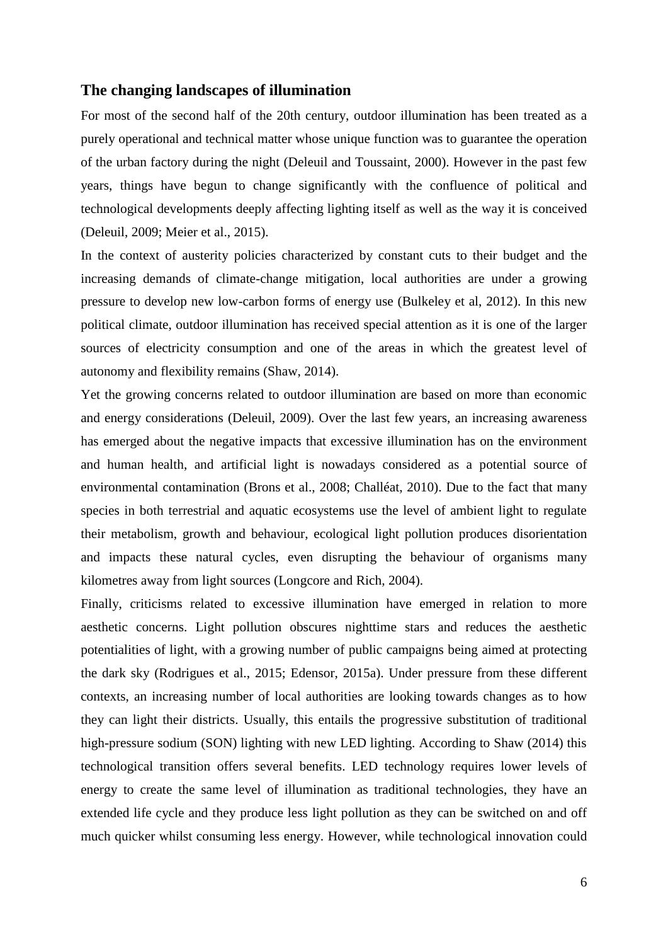#### **The changing landscapes of illumination**

For most of the second half of the 20th century, outdoor illumination has been treated as a purely operational and technical matter whose unique function was to guarantee the operation of the urban factory during the night (Deleuil and Toussaint, 2000). However in the past few years, things have begun to change significantly with the confluence of political and technological developments deeply affecting lighting itself as well as the way it is conceived (Deleuil, 2009; Meier et al., 2015).

In the context of austerity policies characterized by constant cuts to their budget and the increasing demands of climate-change mitigation, local authorities are under a growing pressure to develop new low-carbon forms of energy use (Bulkeley et al, 2012). In this new political climate, outdoor illumination has received special attention as it is one of the larger sources of electricity consumption and one of the areas in which the greatest level of autonomy and flexibility remains (Shaw, 2014).

Yet the growing concerns related to outdoor illumination are based on more than economic and energy considerations (Deleuil, 2009). Over the last few years, an increasing awareness has emerged about the negative impacts that excessive illumination has on the environment and human health, and artificial light is nowadays considered as a potential source of environmental contamination (Brons et al., 2008; Challéat, 2010). Due to the fact that many species in both terrestrial and aquatic ecosystems use the level of ambient light to regulate their metabolism, growth and behaviour, ecological light pollution produces disorientation and impacts these natural cycles, even disrupting the behaviour of organisms many kilometres away from light sources (Longcore and Rich, 2004).

Finally, criticisms related to excessive illumination have emerged in relation to more aesthetic concerns. Light pollution obscures nighttime stars and reduces the aesthetic potentialities of light, with a growing number of public campaigns being aimed at protecting the dark sky (Rodrigues et al., 2015; Edensor, 2015a). Under pressure from these different contexts, an increasing number of local authorities are looking towards changes as to how they can light their districts. Usually, this entails the progressive substitution of traditional high-pressure sodium (SON) lighting with new LED lighting. According to Shaw (2014) this technological transition offers several benefits. LED technology requires lower levels of energy to create the same level of illumination as traditional technologies, they have an extended life cycle and they produce less light pollution as they can be switched on and off much quicker whilst consuming less energy. However, while technological innovation could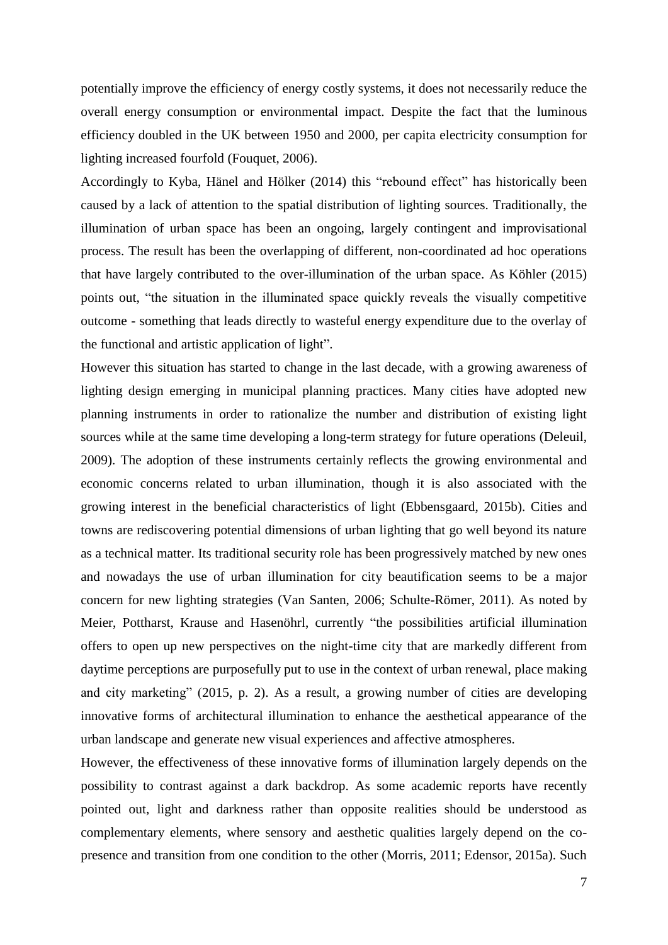potentially improve the efficiency of energy costly systems, it does not necessarily reduce the overall energy consumption or environmental impact. Despite the fact that the luminous efficiency doubled in the UK between 1950 and 2000, per capita electricity consumption for lighting increased fourfold (Fouquet, 2006).

Accordingly to Kyba, Hänel and Hölker (2014) this "rebound effect" has historically been caused by a lack of attention to the spatial distribution of lighting sources. Traditionally, the illumination of urban space has been an ongoing, largely contingent and improvisational process. The result has been the overlapping of different, non-coordinated ad hoc operations that have largely contributed to the over-illumination of the urban space. As Köhler (2015) points out, "the situation in the illuminated space quickly reveals the visually competitive outcome - something that leads directly to wasteful energy expenditure due to the overlay of the functional and artistic application of light".

However this situation has started to change in the last decade, with a growing awareness of lighting design emerging in municipal planning practices. Many cities have adopted new planning instruments in order to rationalize the number and distribution of existing light sources while at the same time developing a long-term strategy for future operations (Deleuil, 2009). The adoption of these instruments certainly reflects the growing environmental and economic concerns related to urban illumination, though it is also associated with the growing interest in the beneficial characteristics of light (Ebbensgaard, 2015b). Cities and towns are rediscovering potential dimensions of urban lighting that go well beyond its nature as a technical matter. Its traditional security role has been progressively matched by new ones and nowadays the use of urban illumination for city beautification seems to be a major concern for new lighting strategies (Van Santen, 2006; Schulte-Römer, 2011). As noted by Meier, Pottharst, Krause and Hasenöhrl, currently "the possibilities artificial illumination offers to open up new perspectives on the night-time city that are markedly different from daytime perceptions are purposefully put to use in the context of urban renewal, place making and city marketing" (2015, p. 2). As a result, a growing number of cities are developing innovative forms of architectural illumination to enhance the aesthetical appearance of the urban landscape and generate new visual experiences and affective atmospheres.

However, the effectiveness of these innovative forms of illumination largely depends on the possibility to contrast against a dark backdrop. As some academic reports have recently pointed out, light and darkness rather than opposite realities should be understood as complementary elements, where sensory and aesthetic qualities largely depend on the copresence and transition from one condition to the other (Morris, 2011; Edensor, 2015a). Such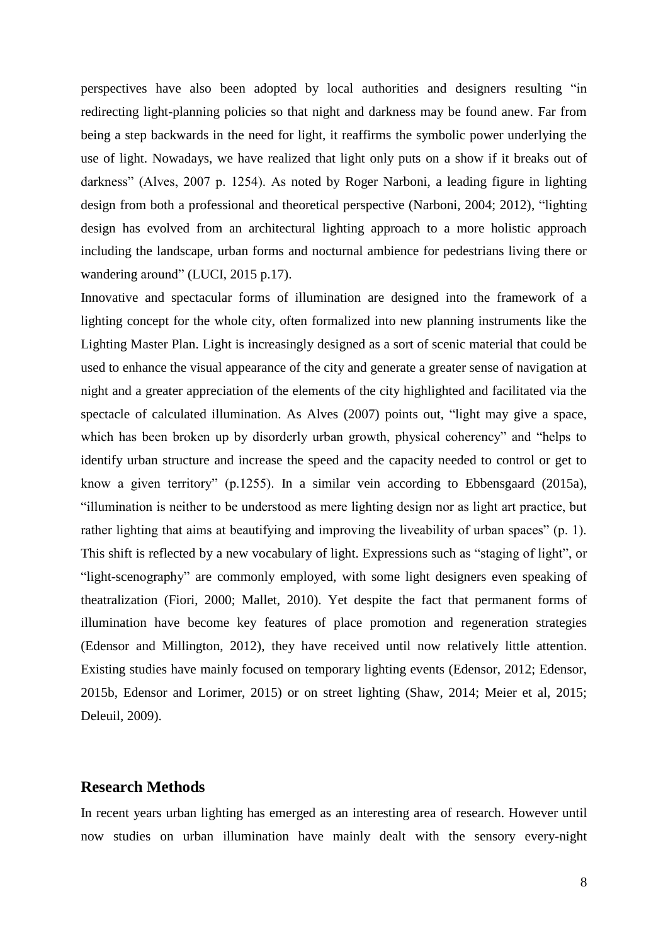perspectives have also been adopted by local authorities and designers resulting "in redirecting light-planning policies so that night and darkness may be found anew. Far from being a step backwards in the need for light, it reaffirms the symbolic power underlying the use of light. Nowadays, we have realized that light only puts on a show if it breaks out of darkness" (Alves, 2007 p. 1254). As noted by Roger Narboni, a leading figure in lighting design from both a professional and theoretical perspective (Narboni, 2004; 2012), "lighting design has evolved from an architectural lighting approach to a more holistic approach including the landscape, urban forms and nocturnal ambience for pedestrians living there or wandering around" (LUCI, 2015 p.17).

Innovative and spectacular forms of illumination are designed into the framework of a lighting concept for the whole city, often formalized into new planning instruments like the Lighting Master Plan. Light is increasingly designed as a sort of scenic material that could be used to enhance the visual appearance of the city and generate a greater sense of navigation at night and a greater appreciation of the elements of the city highlighted and facilitated via the spectacle of calculated illumination. As Alves (2007) points out, "light may give a space, which has been broken up by disorderly urban growth, physical coherency" and "helps to identify urban structure and increase the speed and the capacity needed to control or get to know a given territory" (p.1255). In a similar vein according to Ebbensgaard (2015a), "illumination is neither to be understood as mere lighting design nor as light art practice, but rather lighting that aims at beautifying and improving the liveability of urban spaces" (p. 1). This shift is reflected by a new vocabulary of light. Expressions such as "staging of light", or "light-scenography" are commonly employed, with some light designers even speaking of theatralization (Fiori, 2000; Mallet, 2010). Yet despite the fact that permanent forms of illumination have become key features of place promotion and regeneration strategies (Edensor and Millington, 2012), they have received until now relatively little attention. Existing studies have mainly focused on temporary lighting events (Edensor, 2012; Edensor, 2015b, Edensor and Lorimer, 2015) or on street lighting (Shaw, 2014; Meier et al, 2015; Deleuil, 2009).

#### **Research Methods**

In recent years urban lighting has emerged as an interesting area of research. However until now studies on urban illumination have mainly dealt with the sensory every-night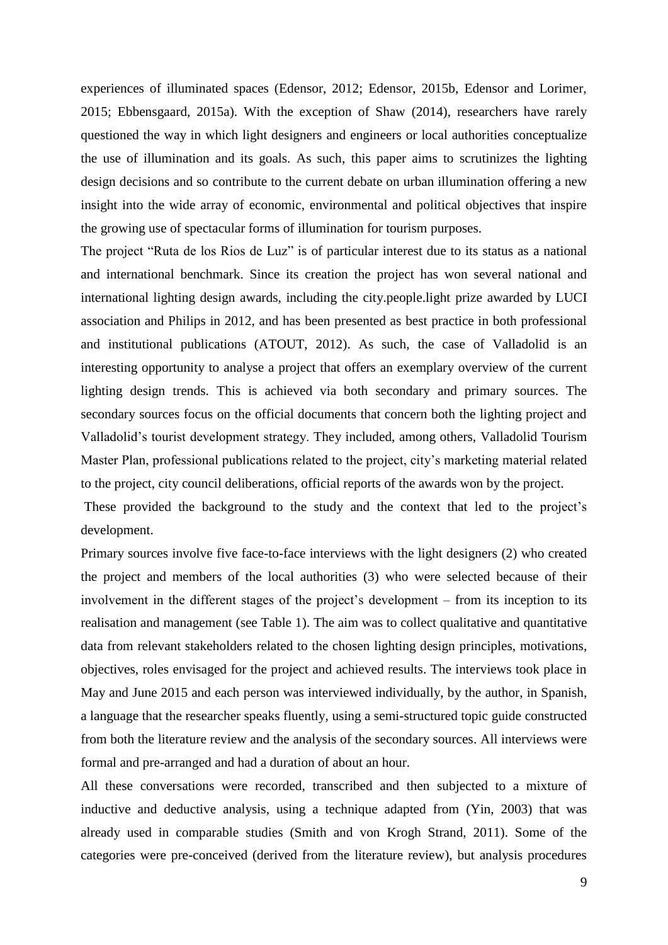experiences of illuminated spaces (Edensor, 2012; Edensor, 2015b, Edensor and Lorimer, 2015; Ebbensgaard, 2015a). With the exception of Shaw (2014), researchers have rarely questioned the way in which light designers and engineers or local authorities conceptualize the use of illumination and its goals. As such, this paper aims to scrutinizes the lighting design decisions and so contribute to the current debate on urban illumination offering a new insight into the wide array of economic, environmental and political objectives that inspire the growing use of spectacular forms of illumination for tourism purposes.

The project "Ruta de los Rios de Luz" is of particular interest due to its status as a national and international benchmark. Since its creation the project has won several national and international lighting design awards, including the city.people.light prize awarded by LUCI association and Philips in 2012, and has been presented as best practice in both professional and institutional publications (ATOUT, 2012). As such, the case of Valladolid is an interesting opportunity to analyse a project that offers an exemplary overview of the current lighting design trends. This is achieved via both secondary and primary sources. The secondary sources focus on the official documents that concern both the lighting project and Valladolid's tourist development strategy. They included, among others, Valladolid Tourism Master Plan, professional publications related to the project, city's marketing material related to the project, city council deliberations, official reports of the awards won by the project.

These provided the background to the study and the context that led to the project's development.

Primary sources involve five face-to-face interviews with the light designers (2) who created the project and members of the local authorities (3) who were selected because of their involvement in the different stages of the project's development – from its inception to its realisation and management (see Table 1). The aim was to collect qualitative and quantitative data from relevant stakeholders related to the chosen lighting design principles, motivations, objectives, roles envisaged for the project and achieved results. The interviews took place in May and June 2015 and each person was interviewed individually, by the author, in Spanish, a language that the researcher speaks fluently, using a semi-structured topic guide constructed from both the literature review and the analysis of the secondary sources. All interviews were formal and pre-arranged and had a duration of about an hour.

All these conversations were recorded, transcribed and then subjected to a mixture of inductive and deductive analysis, using a technique adapted from (Yin, 2003) that was already used in comparable studies (Smith and von Krogh Strand, 2011). Some of the categories were pre-conceived (derived from the literature review), but analysis procedures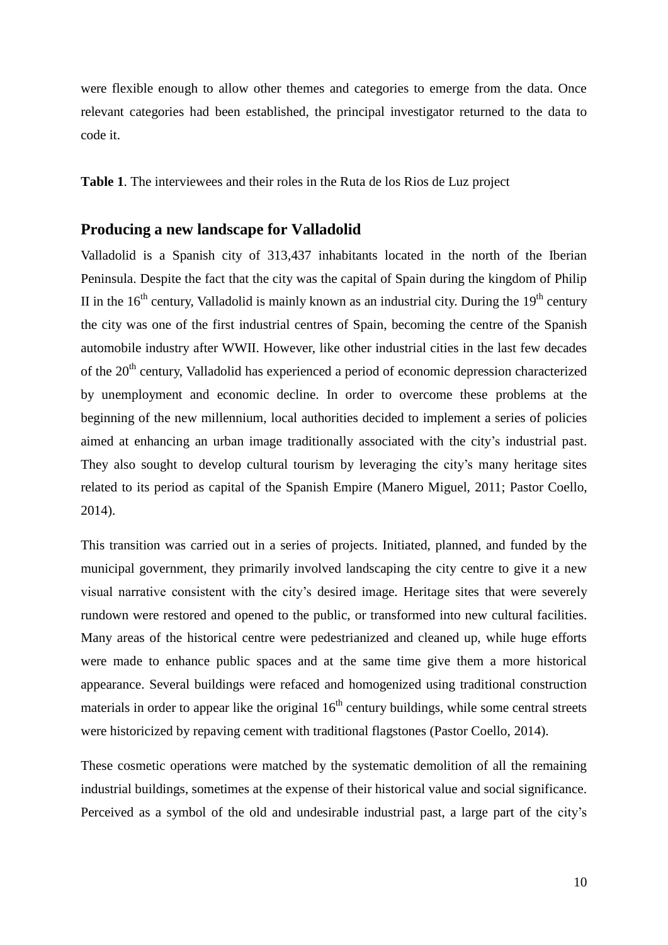were flexible enough to allow other themes and categories to emerge from the data. Once relevant categories had been established, the principal investigator returned to the data to code it.

**Table 1**. The interviewees and their roles in the Ruta de los Rios de Luz project

#### **Producing a new landscape for Valladolid**

Valladolid is a Spanish city of 313,437 inhabitants located in the north of the Iberian Peninsula. Despite the fact that the city was the capital of Spain during the kingdom of Philip II in the  $16<sup>th</sup>$  century. Valladolid is mainly known as an industrial city. During the  $19<sup>th</sup>$  century the city was one of the first industrial centres of Spain, becoming the centre of the Spanish automobile industry after WWII. However, like other industrial cities in the last few decades of the 20<sup>th</sup> century, Valladolid has experienced a period of economic depression characterized by unemployment and economic decline. In order to overcome these problems at the beginning of the new millennium, local authorities decided to implement a series of policies aimed at enhancing an urban image traditionally associated with the city's industrial past. They also sought to develop cultural tourism by leveraging the city's many heritage sites related to its period as capital of the Spanish Empire (Manero Miguel, 2011; Pastor Coello, 2014).

This transition was carried out in a series of projects. Initiated, planned, and funded by the municipal government, they primarily involved landscaping the city centre to give it a new visual narrative consistent with the city's desired image. Heritage sites that were severely rundown were restored and opened to the public, or transformed into new cultural facilities. Many areas of the historical centre were pedestrianized and cleaned up, while huge efforts were made to enhance public spaces and at the same time give them a more historical appearance. Several buildings were refaced and homogenized using traditional construction materials in order to appear like the original  $16<sup>th</sup>$  century buildings, while some central streets were historicized by repaving cement with traditional flagstones (Pastor Coello, 2014).

These cosmetic operations were matched by the systematic demolition of all the remaining industrial buildings, sometimes at the expense of their historical value and social significance. Perceived as a symbol of the old and undesirable industrial past, a large part of the city's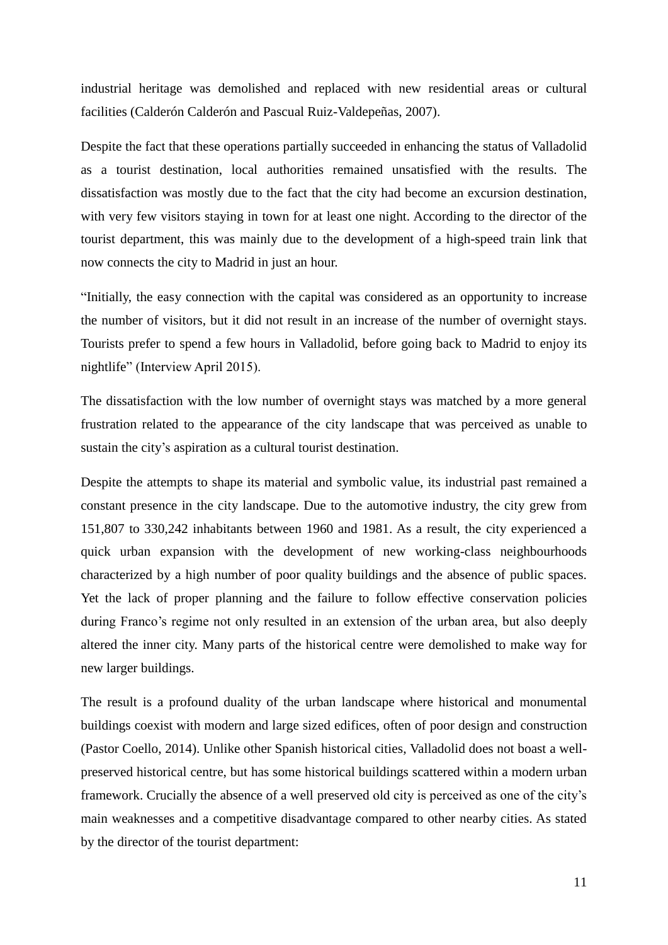industrial heritage was demolished and replaced with new residential areas or cultural facilities (Calderón Calderón and Pascual Ruiz-Valdepeñas, 2007).

Despite the fact that these operations partially succeeded in enhancing the status of Valladolid as a tourist destination, local authorities remained unsatisfied with the results. The dissatisfaction was mostly due to the fact that the city had become an excursion destination, with very few visitors staying in town for at least one night. According to the director of the tourist department, this was mainly due to the development of a high-speed train link that now connects the city to Madrid in just an hour.

"Initially, the easy connection with the capital was considered as an opportunity to increase the number of visitors, but it did not result in an increase of the number of overnight stays. Tourists prefer to spend a few hours in Valladolid, before going back to Madrid to enjoy its nightlife" (Interview April 2015).

The dissatisfaction with the low number of overnight stays was matched by a more general frustration related to the appearance of the city landscape that was perceived as unable to sustain the city's aspiration as a cultural tourist destination.

Despite the attempts to shape its material and symbolic value, its industrial past remained a constant presence in the city landscape. Due to the automotive industry, the city grew from 151,807 to 330,242 inhabitants between 1960 and 1981. As a result, the city experienced a quick urban expansion with the development of new working-class neighbourhoods characterized by a high number of poor quality buildings and the absence of public spaces. Yet the lack of proper planning and the failure to follow effective conservation policies during Franco's regime not only resulted in an extension of the urban area, but also deeply altered the inner city. Many parts of the historical centre were demolished to make way for new larger buildings.

The result is a profound duality of the urban landscape where historical and monumental buildings coexist with modern and large sized edifices, often of poor design and construction (Pastor Coello, 2014). Unlike other Spanish historical cities, Valladolid does not boast a wellpreserved historical centre, but has some historical buildings scattered within a modern urban framework. Crucially the absence of a well preserved old city is perceived as one of the city's main weaknesses and a competitive disadvantage compared to other nearby cities. As stated by the director of the tourist department: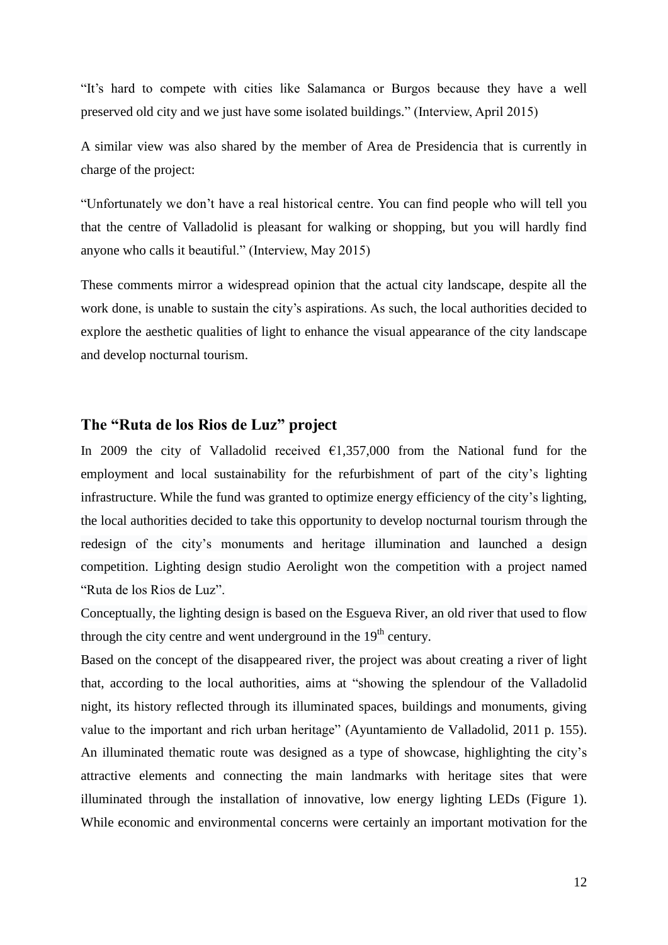"It's hard to compete with cities like Salamanca or Burgos because they have a well preserved old city and we just have some isolated buildings." (Interview, April 2015)

A similar view was also shared by the member of Area de Presidencia that is currently in charge of the project:

"Unfortunately we don't have a real historical centre. You can find people who will tell you that the centre of Valladolid is pleasant for walking or shopping, but you will hardly find anyone who calls it beautiful." (Interview, May 2015)

These comments mirror a widespread opinion that the actual city landscape, despite all the work done, is unable to sustain the city's aspirations. As such, the local authorities decided to explore the aesthetic qualities of light to enhance the visual appearance of the city landscape and develop nocturnal tourism.

## **The "Ruta de los Rios de Luz" project**

In 2009 the city of Valladolid received  $\epsilon$ 1,357,000 from the National fund for the employment and local sustainability for the refurbishment of part of the city's lighting infrastructure. While the fund was granted to optimize energy efficiency of the city's lighting, the local authorities decided to take this opportunity to develop nocturnal tourism through the redesign of the city's monuments and heritage illumination and launched a design competition. Lighting design studio Aerolight won the competition with a project named "Ruta de los Rios de Luz".

Conceptually, the lighting design is based on the Esgueva River, an old river that used to flow through the city centre and went underground in the 19<sup>th</sup> century.

Based on the concept of the disappeared river, the project was about creating a river of light that, according to the local authorities, aims at "showing the splendour of the Valladolid night, its history reflected through its illuminated spaces, buildings and monuments, giving value to the important and rich urban heritage" (Ayuntamiento de Valladolid, 2011 p. 155). An illuminated thematic route was designed as a type of showcase, highlighting the city's attractive elements and connecting the main landmarks with heritage sites that were illuminated through the installation of innovative, low energy lighting LEDs (Figure 1). While economic and environmental concerns were certainly an important motivation for the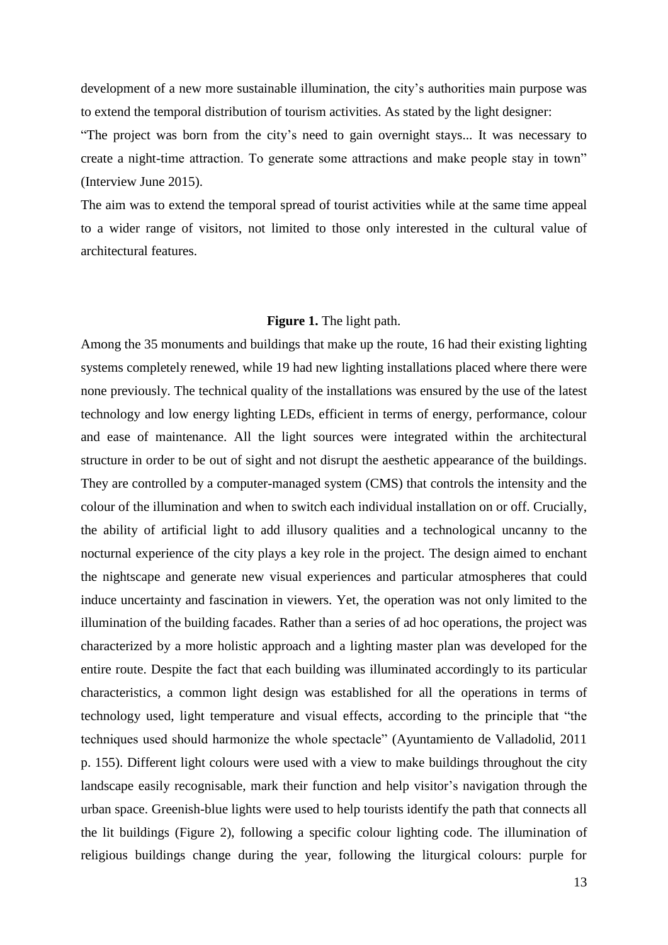development of a new more sustainable illumination, the city's authorities main purpose was to extend the temporal distribution of tourism activities. As stated by the light designer:

"The project was born from the city's need to gain overnight stays... It was necessary to create a night-time attraction. To generate some attractions and make people stay in town" (Interview June 2015).

The aim was to extend the temporal spread of tourist activities while at the same time appeal to a wider range of visitors, not limited to those only interested in the cultural value of architectural features.

#### **Figure 1.** The light path.

Among the 35 monuments and buildings that make up the route, 16 had their existing lighting systems completely renewed, while 19 had new lighting installations placed where there were none previously. The technical quality of the installations was ensured by the use of the latest technology and low energy lighting LEDs, efficient in terms of energy, performance, colour and ease of maintenance. All the light sources were integrated within the architectural structure in order to be out of sight and not disrupt the aesthetic appearance of the buildings. They are controlled by a computer-managed system (CMS) that controls the intensity and the colour of the illumination and when to switch each individual installation on or off. Crucially, the ability of artificial light to add illusory qualities and a technological uncanny to the nocturnal experience of the city plays a key role in the project. The design aimed to enchant the nightscape and generate new visual experiences and particular atmospheres that could induce uncertainty and fascination in viewers. Yet, the operation was not only limited to the illumination of the building facades. Rather than a series of ad hoc operations, the project was characterized by a more holistic approach and a lighting master plan was developed for the entire route. Despite the fact that each building was illuminated accordingly to its particular characteristics, a common light design was established for all the operations in terms of technology used, light temperature and visual effects, according to the principle that "the techniques used should harmonize the whole spectacle" (Ayuntamiento de Valladolid, 2011 p. 155). Different light colours were used with a view to make buildings throughout the city landscape easily recognisable, mark their function and help visitor's navigation through the urban space. Greenish-blue lights were used to help tourists identify the path that connects all the lit buildings (Figure 2), following a specific colour lighting code. The illumination of religious buildings change during the year, following the liturgical colours: purple for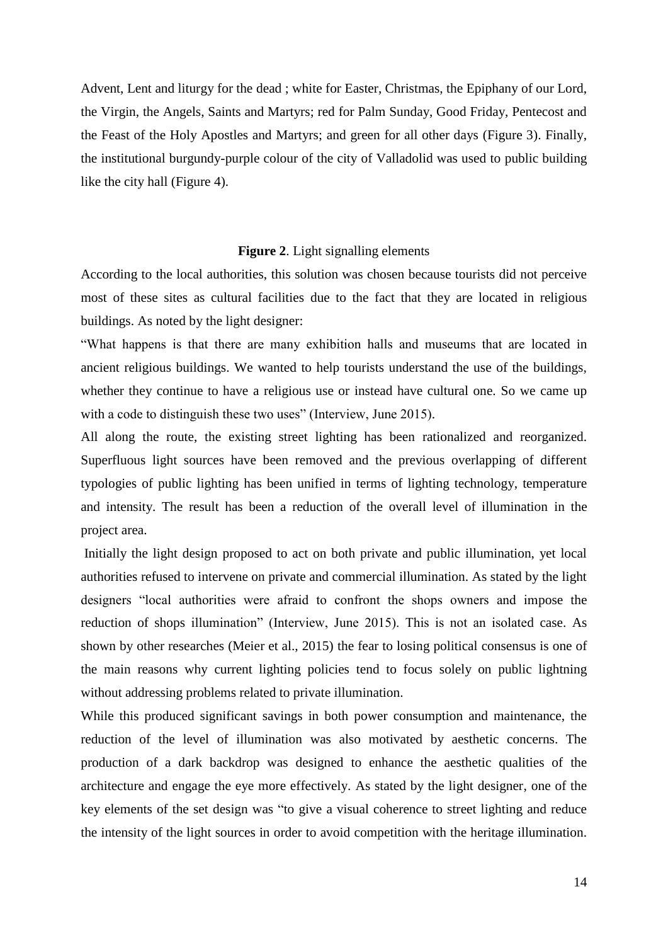Advent, Lent and liturgy for the dead ; white for Easter, Christmas, the Epiphany of our Lord, the Virgin, the Angels, Saints and Martyrs; red for Palm Sunday, Good Friday, Pentecost and the Feast of the Holy Apostles and Martyrs; and green for all other days (Figure 3). Finally, the institutional burgundy-purple colour of the city of Valladolid was used to public building like the city hall (Figure 4).

#### **Figure 2**. Light signalling elements

According to the local authorities, this solution was chosen because tourists did not perceive most of these sites as cultural facilities due to the fact that they are located in religious buildings. As noted by the light designer:

"What happens is that there are many exhibition halls and museums that are located in ancient religious buildings. We wanted to help tourists understand the use of the buildings, whether they continue to have a religious use or instead have cultural one. So we came up with a code to distinguish these two uses" (Interview, June 2015).

All along the route, the existing street lighting has been rationalized and reorganized. Superfluous light sources have been removed and the previous overlapping of different typologies of public lighting has been unified in terms of lighting technology, temperature and intensity. The result has been a reduction of the overall level of illumination in the project area.

Initially the light design proposed to act on both private and public illumination, yet local authorities refused to intervene on private and commercial illumination. As stated by the light designers "local authorities were afraid to confront the shops owners and impose the reduction of shops illumination" (Interview, June 2015). This is not an isolated case. As shown by other researches (Meier et al., 2015) the fear to losing political consensus is one of the main reasons why current lighting policies tend to focus solely on public lightning without addressing problems related to private illumination.

While this produced significant savings in both power consumption and maintenance, the reduction of the level of illumination was also motivated by aesthetic concerns. The production of a dark backdrop was designed to enhance the aesthetic qualities of the architecture and engage the eye more effectively. As stated by the light designer, one of the key elements of the set design was "to give a visual coherence to street lighting and reduce the intensity of the light sources in order to avoid competition with the heritage illumination.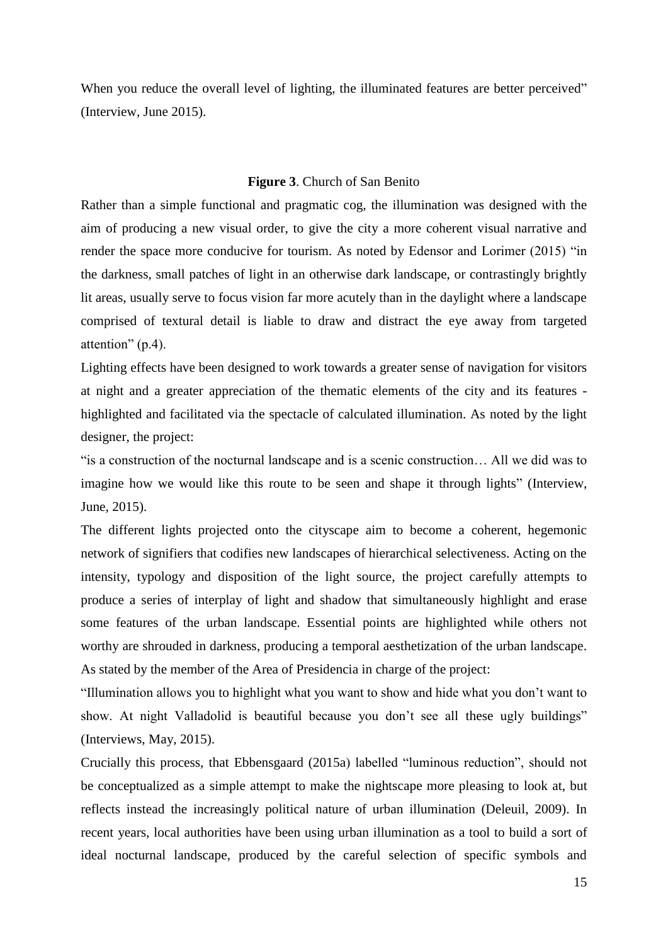When you reduce the overall level of lighting, the illuminated features are better perceived" (Interview, June 2015).

#### **Figure 3**. Church of San Benito

Rather than a simple functional and pragmatic cog, the illumination was designed with the aim of producing a new visual order, to give the city a more coherent visual narrative and render the space more conducive for tourism. As noted by Edensor and Lorimer (2015) "in the darkness, small patches of light in an otherwise dark landscape, or contrastingly brightly lit areas, usually serve to focus vision far more acutely than in the daylight where a landscape comprised of textural detail is liable to draw and distract the eye away from targeted attention" (p.4).

Lighting effects have been designed to work towards a greater sense of navigation for visitors at night and a greater appreciation of the thematic elements of the city and its features highlighted and facilitated via the spectacle of calculated illumination. As noted by the light designer, the project:

"is a construction of the nocturnal landscape and is a scenic construction… All we did was to imagine how we would like this route to be seen and shape it through lights" (Interview, June, 2015).

The different lights projected onto the cityscape aim to become a coherent, hegemonic network of signifiers that codifies new landscapes of hierarchical selectiveness. Acting on the intensity, typology and disposition of the light source, the project carefully attempts to produce a series of interplay of light and shadow that simultaneously highlight and erase some features of the urban landscape. Essential points are highlighted while others not worthy are shrouded in darkness, producing a temporal aesthetization of the urban landscape. As stated by the member of the Area of Presidencia in charge of the project:

"Illumination allows you to highlight what you want to show and hide what you don't want to show. At night Valladolid is beautiful because you don't see all these ugly buildings" (Interviews, May, 2015).

Crucially this process, that Ebbensgaard (2015a) labelled "luminous reduction", should not be conceptualized as a simple attempt to make the nightscape more pleasing to look at, but reflects instead the increasingly political nature of urban illumination (Deleuil, 2009). In recent years, local authorities have been using urban illumination as a tool to build a sort of ideal nocturnal landscape, produced by the careful selection of specific symbols and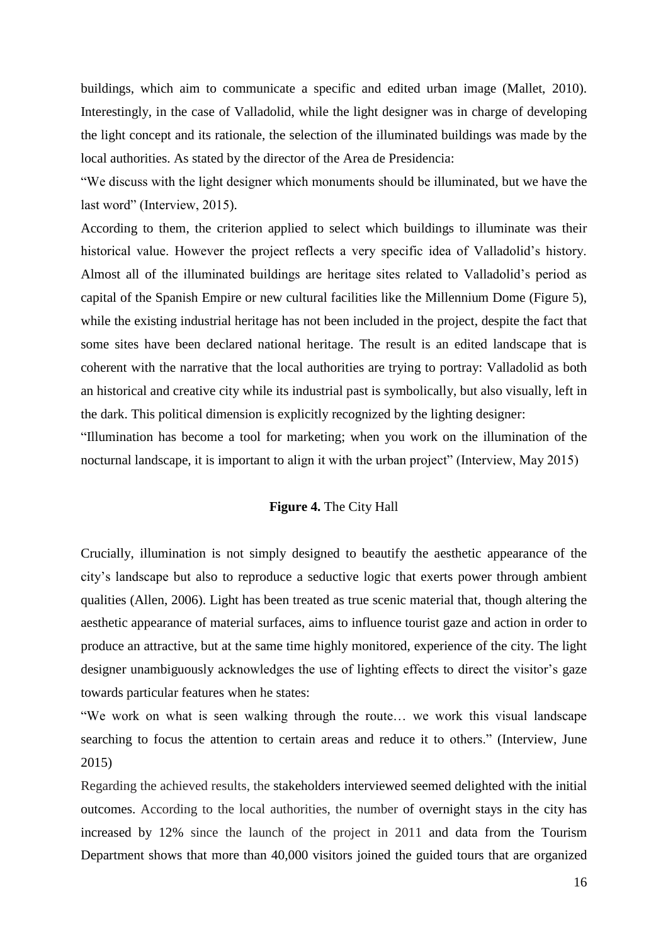buildings, which aim to communicate a specific and edited urban image (Mallet, 2010). Interestingly, in the case of Valladolid, while the light designer was in charge of developing the light concept and its rationale, the selection of the illuminated buildings was made by the local authorities. As stated by the director of the Area de Presidencia:

"We discuss with the light designer which monuments should be illuminated, but we have the last word" (Interview, 2015).

According to them, the criterion applied to select which buildings to illuminate was their historical value. However the project reflects a very specific idea of Valladolid's history. Almost all of the illuminated buildings are heritage sites related to Valladolid's period as capital of the Spanish Empire or new cultural facilities like the Millennium Dome (Figure 5), while the existing industrial heritage has not been included in the project, despite the fact that some sites have been declared national heritage. The result is an edited landscape that is coherent with the narrative that the local authorities are trying to portray: Valladolid as both an historical and creative city while its industrial past is symbolically, but also visually, left in the dark. This political dimension is explicitly recognized by the lighting designer:

"Illumination has become a tool for marketing; when you work on the illumination of the nocturnal landscape, it is important to align it with the urban project" (Interview, May 2015)

#### **Figure 4.** The City Hall

Crucially, illumination is not simply designed to beautify the aesthetic appearance of the city's landscape but also to reproduce a seductive logic that exerts power through ambient qualities (Allen, 2006). Light has been treated as true scenic material that, though altering the aesthetic appearance of material surfaces, aims to influence tourist gaze and action in order to produce an attractive, but at the same time highly monitored, experience of the city. The light designer unambiguously acknowledges the use of lighting effects to direct the visitor's gaze towards particular features when he states:

"We work on what is seen walking through the route… we work this visual landscape searching to focus the attention to certain areas and reduce it to others." (Interview, June 2015)

Regarding the achieved results, the stakeholders interviewed seemed delighted with the initial outcomes. According to the local authorities, the number of overnight stays in the city has increased by 12% since the launch of the project in 2011 and data from the Tourism Department shows that more than 40,000 visitors joined the guided tours that are organized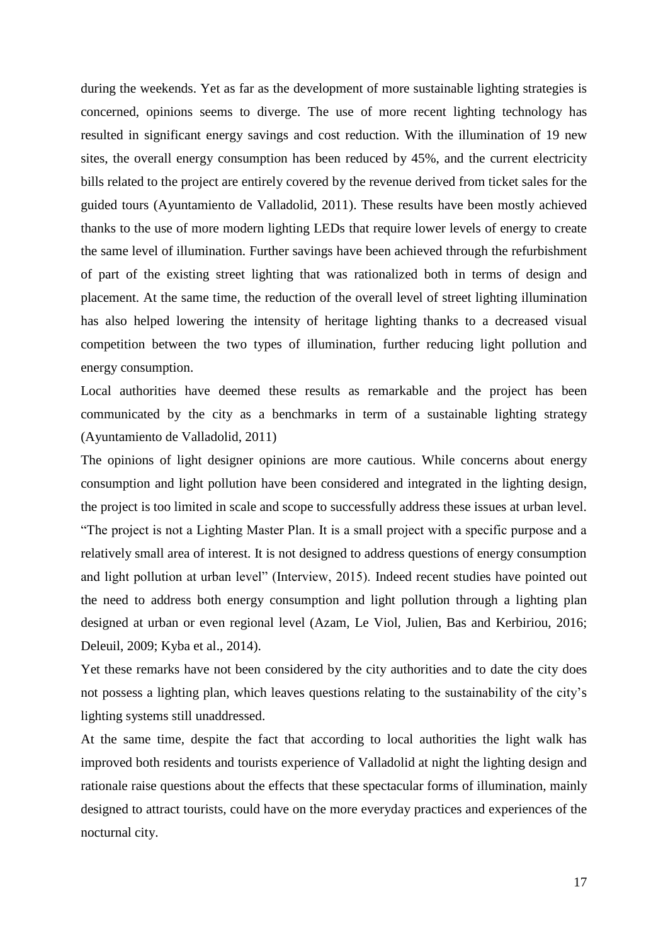during the weekends. Yet as far as the development of more sustainable lighting strategies is concerned, opinions seems to diverge. The use of more recent lighting technology has resulted in significant energy savings and cost reduction. With the illumination of 19 new sites, the overall energy consumption has been reduced by 45%, and the current electricity bills related to the project are entirely covered by the revenue derived from ticket sales for the guided tours (Ayuntamiento de Valladolid, 2011). These results have been mostly achieved thanks to the use of more modern lighting LEDs that require lower levels of energy to create the same level of illumination. Further savings have been achieved through the refurbishment of part of the existing street lighting that was rationalized both in terms of design and placement. At the same time, the reduction of the overall level of street lighting illumination has also helped lowering the intensity of heritage lighting thanks to a decreased visual competition between the two types of illumination, further reducing light pollution and energy consumption.

Local authorities have deemed these results as remarkable and the project has been communicated by the city as a benchmarks in term of a sustainable lighting strategy (Ayuntamiento de Valladolid, 2011)

The opinions of light designer opinions are more cautious. While concerns about energy consumption and light pollution have been considered and integrated in the lighting design, the project is too limited in scale and scope to successfully address these issues at urban level. "The project is not a Lighting Master Plan. It is a small project with a specific purpose and a relatively small area of interest. It is not designed to address questions of energy consumption and light pollution at urban level" (Interview, 2015). Indeed recent studies have pointed out the need to address both energy consumption and light pollution through a lighting plan designed at urban or even regional level (Azam, Le Viol, Julien, Bas and Kerbiriou, 2016; Deleuil, 2009; Kyba et al., 2014).

Yet these remarks have not been considered by the city authorities and to date the city does not possess a lighting plan, which leaves questions relating to the sustainability of the city's lighting systems still unaddressed.

At the same time, despite the fact that according to local authorities the light walk has improved both residents and tourists experience of Valladolid at night the lighting design and rationale raise questions about the effects that these spectacular forms of illumination, mainly designed to attract tourists, could have on the more everyday practices and experiences of the nocturnal city.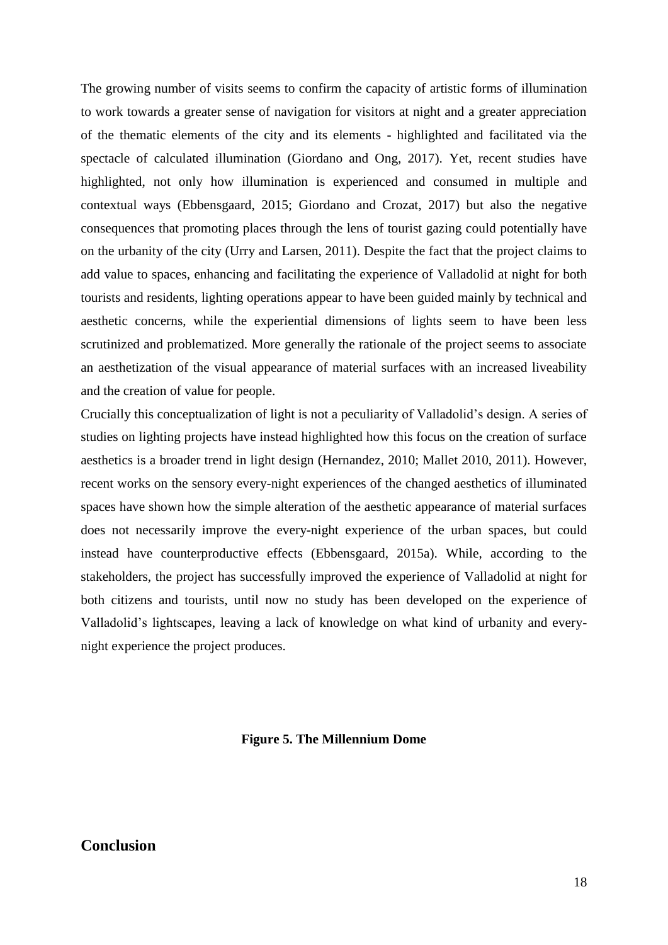The growing number of visits seems to confirm the capacity of artistic forms of illumination to work towards a greater sense of navigation for visitors at night and a greater appreciation of the thematic elements of the city and its elements - highlighted and facilitated via the spectacle of calculated illumination (Giordano and Ong, 2017). Yet, recent studies have highlighted, not only how illumination is experienced and consumed in multiple and contextual ways (Ebbensgaard, 2015; Giordano and Crozat, 2017) but also the negative consequences that promoting places through the lens of tourist gazing could potentially have on the urbanity of the city (Urry and Larsen, 2011). Despite the fact that the project claims to add value to spaces, enhancing and facilitating the experience of Valladolid at night for both tourists and residents, lighting operations appear to have been guided mainly by technical and aesthetic concerns, while the experiential dimensions of lights seem to have been less scrutinized and problematized. More generally the rationale of the project seems to associate an aesthetization of the visual appearance of material surfaces with an increased liveability and the creation of value for people.

Crucially this conceptualization of light is not a peculiarity of Valladolid's design. A series of studies on lighting projects have instead highlighted how this focus on the creation of surface aesthetics is a broader trend in light design (Hernandez, 2010; Mallet 2010, 2011). However, recent works on the sensory every-night experiences of the changed aesthetics of illuminated spaces have shown how the simple alteration of the aesthetic appearance of material surfaces does not necessarily improve the every-night experience of the urban spaces, but could instead have counterproductive effects (Ebbensgaard, 2015a). While, according to the stakeholders, the project has successfully improved the experience of Valladolid at night for both citizens and tourists, until now no study has been developed on the experience of Valladolid's lightscapes, leaving a lack of knowledge on what kind of urbanity and everynight experience the project produces.

#### **Figure 5. The Millennium Dome**

## **Conclusion**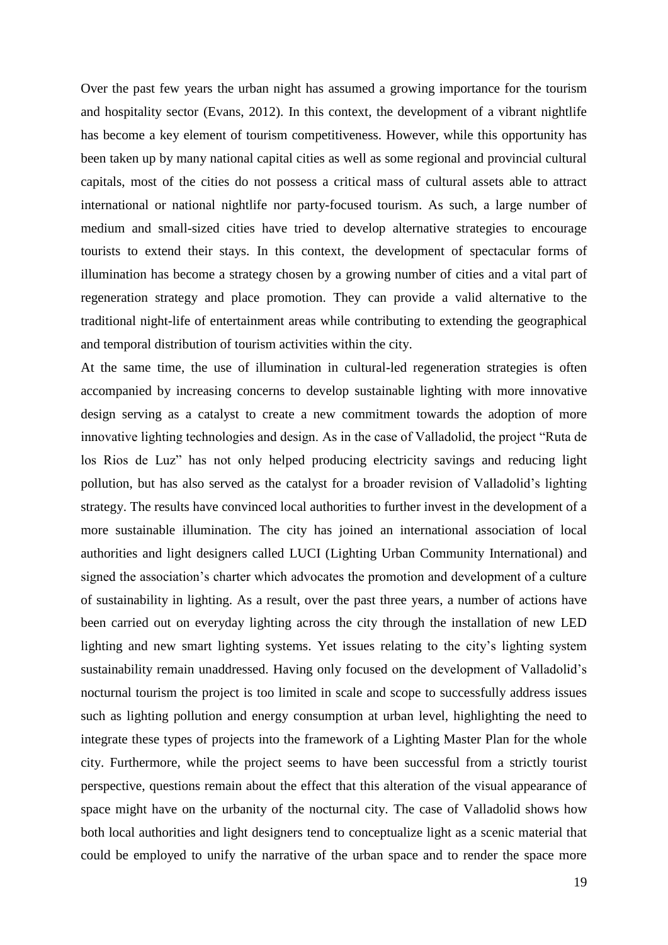Over the past few years the urban night has assumed a growing importance for the tourism and hospitality sector (Evans, 2012). In this context, the development of a vibrant nightlife has become a key element of tourism competitiveness. However, while this opportunity has been taken up by many national capital cities as well as some regional and provincial cultural capitals, most of the cities do not possess a critical mass of cultural assets able to attract international or national nightlife nor party-focused tourism. As such, a large number of medium and small-sized cities have tried to develop alternative strategies to encourage tourists to extend their stays. In this context, the development of spectacular forms of illumination has become a strategy chosen by a growing number of cities and a vital part of regeneration strategy and place promotion. They can provide a valid alternative to the traditional night-life of entertainment areas while contributing to extending the geographical and temporal distribution of tourism activities within the city.

At the same time, the use of illumination in cultural-led regeneration strategies is often accompanied by increasing concerns to develop sustainable lighting with more innovative design serving as a catalyst to create a new commitment towards the adoption of more innovative lighting technologies and design. As in the case of Valladolid, the project "Ruta de los Rios de Luz" has not only helped producing electricity savings and reducing light pollution, but has also served as the catalyst for a broader revision of Valladolid's lighting strategy. The results have convinced local authorities to further invest in the development of a more sustainable illumination. The city has joined an international association of local authorities and light designers called LUCI (Lighting Urban Community International) and signed the association's charter which advocates the promotion and development of a culture of sustainability in lighting. As a result, over the past three years, a number of actions have been carried out on everyday lighting across the city through the installation of new LED lighting and new smart lighting systems. Yet issues relating to the city's lighting system sustainability remain unaddressed. Having only focused on the development of Valladolid's nocturnal tourism the project is too limited in scale and scope to successfully address issues such as lighting pollution and energy consumption at urban level, highlighting the need to integrate these types of projects into the framework of a Lighting Master Plan for the whole city. Furthermore, while the project seems to have been successful from a strictly tourist perspective, questions remain about the effect that this alteration of the visual appearance of space might have on the urbanity of the nocturnal city. The case of Valladolid shows how both local authorities and light designers tend to conceptualize light as a scenic material that could be employed to unify the narrative of the urban space and to render the space more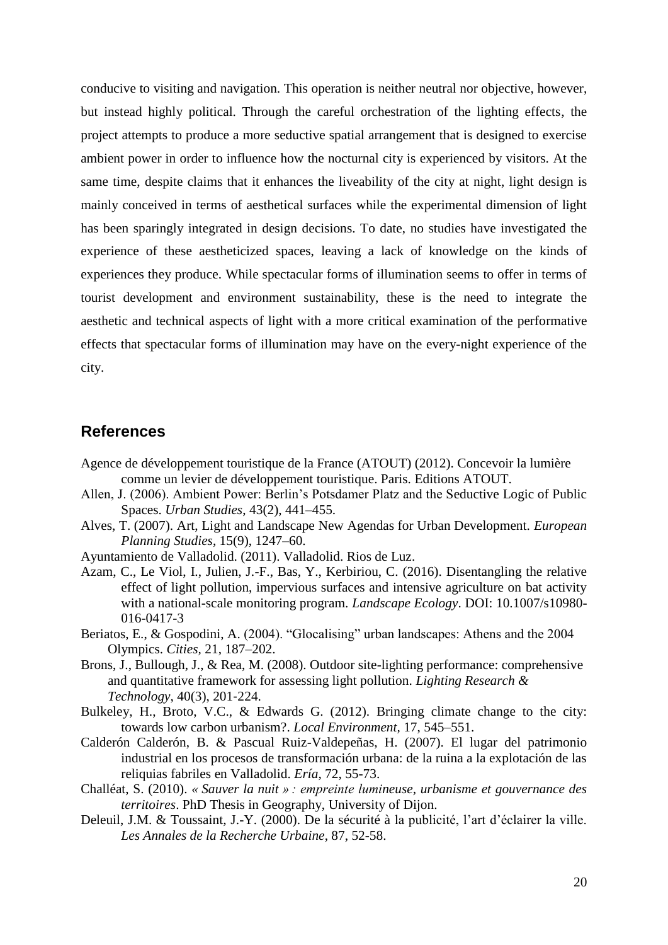conducive to visiting and navigation. This operation is neither neutral nor objective, however, but instead highly political. Through the careful orchestration of the lighting effects, the project attempts to produce a more seductive spatial arrangement that is designed to exercise ambient power in order to influence how the nocturnal city is experienced by visitors. At the same time, despite claims that it enhances the liveability of the city at night, light design is mainly conceived in terms of aesthetical surfaces while the experimental dimension of light has been sparingly integrated in design decisions. To date, no studies have investigated the experience of these aestheticized spaces, leaving a lack of knowledge on the kinds of experiences they produce. While spectacular forms of illumination seems to offer in terms of tourist development and environment sustainability, these is the need to integrate the aesthetic and technical aspects of light with a more critical examination of the performative effects that spectacular forms of illumination may have on the every-night experience of the city.

# **References**

- Agence de développement touristique de la France (ATOUT) (2012). Concevoir la lumière comme un levier de développement touristique. Paris. Editions ATOUT.
- Allen, J. (2006). Ambient Power: Berlin's Potsdamer Platz and the Seductive Logic of Public Spaces. *Urban Studies*, 43(2), 441–455.
- Alves, T. (2007). Art, Light and Landscape New Agendas for Urban Development. *European Planning Studies*, 15(9), 1247–60.
- Ayuntamiento de Valladolid. (2011). Valladolid. Rios de Luz.
- Azam, C., Le Viol, I., Julien, J.-F., Bas, Y., Kerbiriou, C. (2016). Disentangling the relative effect of light pollution, impervious surfaces and intensive agriculture on bat activity with a national-scale monitoring program. *Landscape Ecology*. DOI: 10.1007/s10980- 016-0417-3
- Beriatos, E., & Gospodini, A. (2004). "Glocalising" urban landscapes: Athens and the 2004 Olympics. *Cities,* 21, 187–202.
- Brons, J., Bullough, J., & Rea, M. (2008). Outdoor site-lighting performance: comprehensive and quantitative framework for assessing light pollution. *Lighting Research & Technology*, 40(3), 201‑224.
- Bulkeley, H., Broto, V.C., & Edwards G. (2012). Bringing climate change to the city: towards low carbon urbanism?. *Local Environment,* 17, 545–551.
- Calderón Calderón, B. & Pascual Ruiz-Valdepeñas, H. (2007). El lugar del patrimonio industrial en los procesos de transformación urbana: de la ruina a la explotación de las reliquias fabriles en Valladolid. *Ería*, 72, 55-73.
- Challéat, S. (2010). *« Sauver la nuit » : empreinte lumineuse, urbanisme et gouvernance des territoires*. PhD Thesis in Geography, University of Dijon.
- Deleuil, J.M. & Toussaint, J.-Y. (2000). De la sécurité à la publicité, l'art d'éclairer la ville. *Les Annales de la Recherche Urbaine*, 87, 52-58.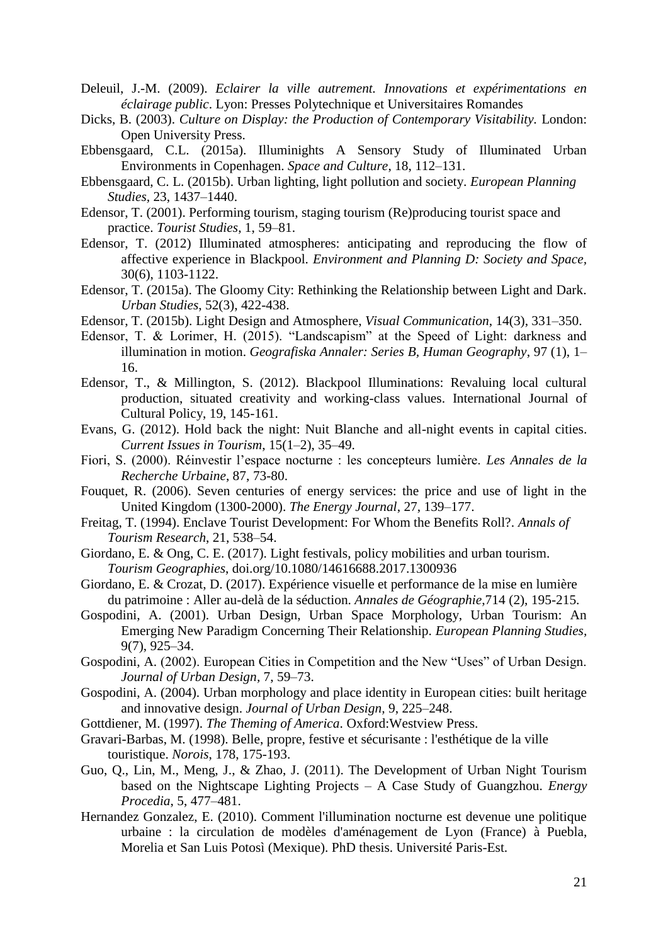- Deleuil, J.-M. (2009). *Eclairer la ville autrement. Innovations et expérimentations en éclairage public*. Lyon: Presses Polytechnique et Universitaires Romandes
- Dicks, B. (2003). *Culture on Display: the Production of Contemporary Visitability.* London: Open University Press.
- Ebbensgaard, C.L. (2015a). Illuminights A Sensory Study of Illuminated Urban Environments in Copenhagen. *Space and Culture*, 18, 112–131.
- Ebbensgaard, C. L. (2015b). Urban lighting, light pollution and society. *European Planning Studies,* 23, 1437–1440.
- Edensor, T. (2001). Performing tourism, staging tourism (Re)producing tourist space and practice. *Tourist Studies*, 1, 59–81.
- Edensor, T. (2012) Illuminated atmospheres: anticipating and reproducing the flow of affective experience in Blackpool. *Environment and Planning D: Society and Space,* 30(6), 1103-1122.
- Edensor, T. (2015a). The Gloomy City: Rethinking the Relationship between Light and Dark. *Urban Studies*, 52(3), 422-438.
- Edensor, T. (2015b). Light Design and Atmosphere, *Visual Communication*, 14(3), 331–350.
- Edensor, T. & Lorimer, H. (2015). "Landscapism" at the Speed of Light: darkness and illumination in motion. *Geografiska Annaler: Series B, Human Geography*, 97 (1), 1– 16.
- Edensor, T., & Millington, S. (2012). Blackpool Illuminations: Revaluing local cultural production, situated creativity and working-class values. International Journal of Cultural Policy, 19, 145-161.
- Evans, G. (2012). Hold back the night: Nuit Blanche and all-night events in capital cities. *Current Issues in Tourism*, 15(1–2), 35–49.
- Fiori, S. (2000). Réinvestir l'espace nocturne : les concepteurs lumière. *Les Annales de la Recherche Urbaine*, 87, 73-80.
- Fouquet, R. (2006). Seven centuries of energy services: the price and use of light in the United Kingdom (1300-2000). *The Energy Journal*, 27, 139–177.
- Freitag, T. (1994). Enclave Tourist Development: For Whom the Benefits Roll?. *Annals of Tourism Research*, 21, 538–54.
- Giordano, E. & Ong, C. E. (2017). Light festivals, policy mobilities and urban tourism. *Tourism Geographies*, doi.org/10.1080/14616688.2017.1300936
- Giordano, E. & Crozat, D. (2017). Expérience visuelle et performance de la mise en lumière du patrimoine : Aller au-delà de la séduction. *Annales de Géographie*,714 (2), 195-215.
- Gospodini, A. (2001). Urban Design, Urban Space Morphology, Urban Tourism: An Emerging New Paradigm Concerning Their Relationship. *European Planning Studies,* 9(7), 925–34.
- Gospodini, A. (2002). European Cities in Competition and the New "Uses" of Urban Design. *Journal of Urban Design,* 7, 59–73.
- Gospodini, A. (2004). Urban morphology and place identity in European cities: built heritage and innovative design. *Journal of Urban Design,* 9, 225–248.
- Gottdiener, M. (1997). *The Theming of America*. Oxford:Westview Press.
- Gravari-Barbas, M. (1998). Belle, propre, festive et sécurisante : l'esthétique de la ville touristique. *Norois*, 178, 175-193.
- Guo, Q., Lin, M., Meng, J., & Zhao, J. (2011). The Development of Urban Night Tourism based on the Nightscape Lighting Projects – A Case Study of Guangzhou. *Energy Procedia*, 5, 477–481.
- Hernandez Gonzalez, E. (2010). Comment l'illumination nocturne est devenue une politique urbaine : la circulation de modèles d'aménagement de Lyon (France) à Puebla, Morelia et San Luis Potosì (Mexique). PhD thesis. Université Paris-Est.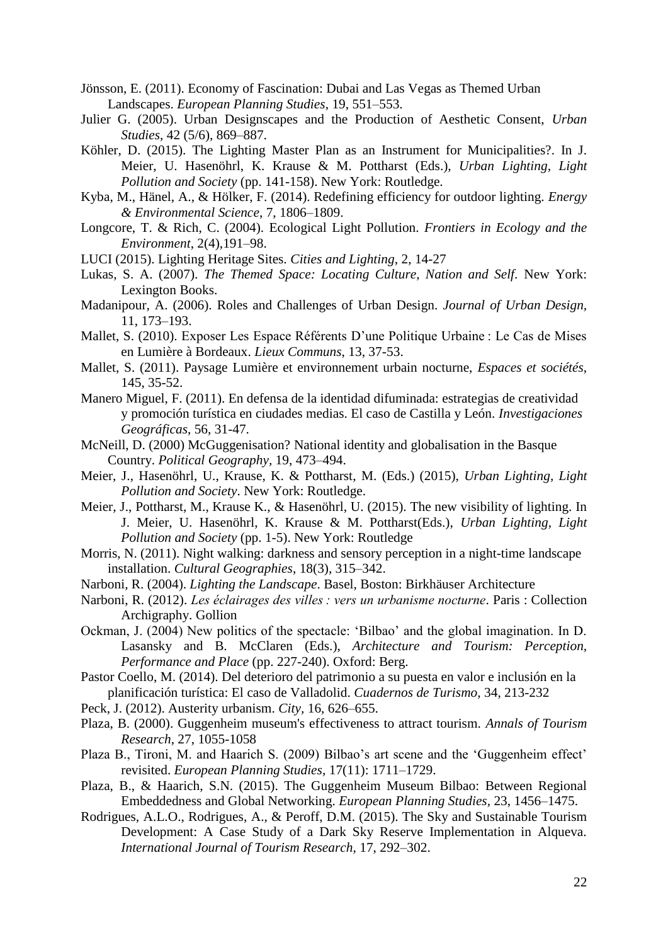- Jönsson, E. (2011). Economy of Fascination: Dubai and Las Vegas as Themed Urban Landscapes. *European Planning Studies*, 19, 551–553.
- Julier G. (2005). Urban Designscapes and the Production of Aesthetic Consent, *Urban Studies*, 42 (5/6), 869–887.
- Köhler, D. (2015). The Lighting Master Plan as an Instrument for Municipalities?. In J. Meier, U. Hasenöhrl, K. Krause & M. Pottharst (Eds.), *Urban Lighting, Light Pollution and Society* (pp. 141-158). New York: Routledge.
- Kyba, M., Hänel, A., & Hölker, F. (2014). Redefining efficiency for outdoor lighting. *Energy & Environmental Science*, 7, 1806–1809.
- Longcore, T. & Rich, C. (2004). Ecological Light Pollution. *Frontiers in Ecology and the Environment*, 2(4),191–98.
- LUCI (2015). Lighting Heritage Sites. *Cities and Lighting*, 2, 14-27
- Lukas, S. A. (2007). *The Themed Space: Locating Culture, Nation and Self.* New York: Lexington Books.
- Madanipour, A. (2006). Roles and Challenges of Urban Design. *Journal of Urban Design,* 11, 173–193.
- Mallet, S. (2010). Exposer Les Espace Référents D'une Politique Urbaine : Le Cas de Mises en Lumière à Bordeaux. *Lieux Communs*, 13, 37-53.
- Mallet, S. (2011). Paysage Lumière et environnement urbain nocturne, *Espaces et sociétés*, 145, 35-52.
- Manero Miguel, F. (2011). En defensa de la identidad difuminada: estrategias de creatividad y promoción turística en ciudades medias. El caso de Castilla y León. *Investigaciones Geográficas*, 56, 31-47.
- McNeill, D. (2000) McGuggenisation? National identity and globalisation in the Basque Country. *Political Geography,* 19, 473–494.
- Meier, J., Hasenöhrl, U., Krause, K. & Pottharst, M. (Eds.) (2015), *Urban Lighting, Light Pollution and Society*. New York: Routledge.
- Meier, J., Pottharst, M., Krause K., & Hasenöhrl, U. (2015). The new visibility of lighting. In J. Meier, U. Hasenöhrl, K. Krause & M. Pottharst(Eds.), *Urban Lighting, Light Pollution and Society* (pp. 1-5). New York: Routledge
- Morris, N. (2011). Night walking: darkness and sensory perception in a night-time landscape installation. *Cultural Geographies*, 18(3), 315–342.
- Narboni, R. (2004). *Lighting the Landscape*. Basel, Boston: Birkhäuser Architecture
- Narboni, R. (2012). *Les éclairages des villes : vers un urbanisme nocturne*. Paris : Collection Archigraphy. Gollion
- Ockman, J. (2004) New politics of the spectacle: 'Bilbao' and the global imagination. In D. Lasansky and B. McClaren (Eds.), *Architecture and Tourism: Perception, Performance and Place* (pp. 227-240). Oxford: Berg.
- Pastor Coello, M. (2014). Del deterioro del patrimonio a su puesta en valor e inclusión en la planificación turística: El caso de Valladolid. *Cuadernos de Turismo*, 34, 213-232
- Peck, J. (2012). Austerity urbanism. *City,* 16, 626–655.
- Plaza, B. (2000). Guggenheim museum's effectiveness to attract tourism. *Annals of Tourism Research*, 27, 1055-1058
- Plaza B., Tironi, M. and Haarich S. (2009) Bilbao's art scene and the 'Guggenheim effect' revisited. *European Planning Studies*, 17(11): 1711–1729.
- Plaza, B., & Haarich, S.N. (2015). The Guggenheim Museum Bilbao: Between Regional Embeddedness and Global Networking. *European Planning Studies,* 23, 1456–1475.
- Rodrigues, A.L.O., Rodrigues, A., & Peroff, D.M. (2015). The Sky and Sustainable Tourism Development: A Case Study of a Dark Sky Reserve Implementation in Alqueva. *International Journal of Tourism Research*, 17, 292–302.